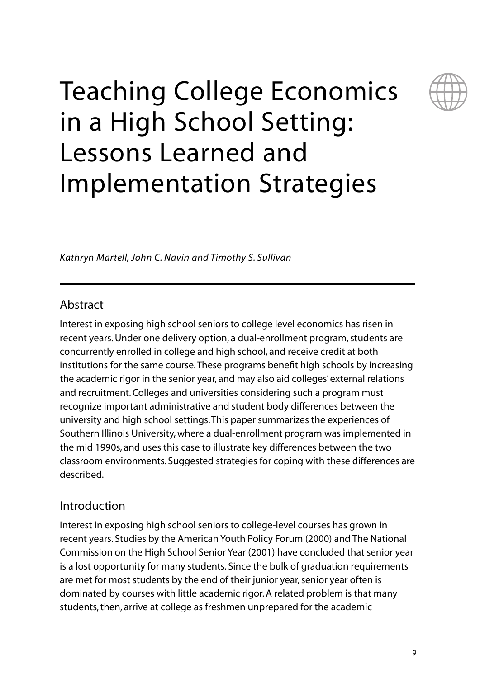

# Teaching College Economics in a High School Setting: Lessons Learned and Implementation Strategies

*Kathryn Martell, John C. Navin and Timothy S. Sullivan*

#### Abstract

Interest in exposing high school seniors to college level economics has risen in recent years. Under one delivery option, a dual-enrollment program, students are concurrently enrolled in college and high school, and receive credit at both institutions for the same course.These programs benefit high schools by increasing the academic rigor in the senior year, and may also aid colleges' external relations and recruitment. Colleges and universities considering such a program must recognize important administrative and student body differences between the university and high school settings.This paper summarizes the experiences of Southern Illinois University, where a dual-enrollment program was implemented in the mid 1990s, and uses this case to illustrate key differences between the two classroom environments. Suggested strategies for coping with these differences are described.

## Introduction

Interest in exposing high school seniors to college-level courses has grown in recent years. Studies by the American Youth Policy Forum (2000) and The National Commission on the High School Senior Year (2001) have concluded that senior year is a lost opportunity for many students. Since the bulk of graduation requirements are met for most students by the end of their junior year, senior year often is dominated by courses with little academic rigor. A related problem is that many students, then, arrive at college as freshmen unprepared for the academic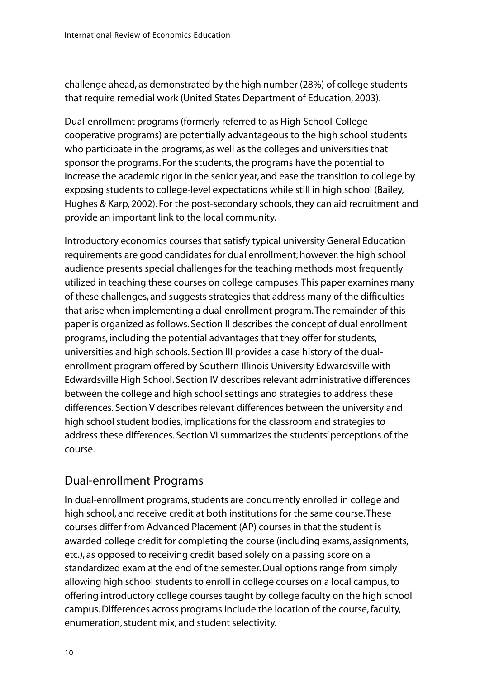challenge ahead, as demonstrated by the high number (28%) of college students that require remedial work (United States Department of Education, 2003).

Dual-enrollment programs (formerly referred to as High School-College cooperative programs) are potentially advantageous to the high school students who participate in the programs, as well as the colleges and universities that sponsor the programs. For the students, the programs have the potential to increase the academic rigor in the senior year, and ease the transition to college by exposing students to college-level expectations while still in high school (Bailey, Hughes & Karp, 2002). For the post-secondary schools, they can aid recruitment and provide an important link to the local community.

Introductory economics courses that satisfy typical university General Education requirements are good candidates for dual enrollment; however, the high school audience presents special challenges for the teaching methods most frequently utilized in teaching these courses on college campuses.This paper examines many of these challenges, and suggests strategies that address many of the difficulties that arise when implementing a dual-enrollment program.The remainder of this paper is organized as follows. Section II describes the concept of dual enrollment programs, including the potential advantages that they offer for students, universities and high schools. Section III provides a case history of the dualenrollment program offered by Southern Illinois University Edwardsville with Edwardsville High School. Section IV describes relevant administrative differences between the college and high school settings and strategies to address these differences. Section V describes relevant differences between the university and high school student bodies, implications for the classroom and strategies to address these differences. Section VI summarizes the students' perceptions of the course.

## Dual-enrollment Programs

In dual-enrollment programs, students are concurrently enrolled in college and high school, and receive credit at both institutions for the same course.These courses differ from Advanced Placement (AP) courses in that the student is awarded college credit for completing the course (including exams, assignments, etc.), as opposed to receiving credit based solely on a passing score on a standardized exam at the end of the semester. Dual options range from simply allowing high school students to enroll in college courses on a local campus, to offering introductory college courses taught by college faculty on the high school campus.Differences across programs include the location of the course, faculty, enumeration, student mix, and student selectivity.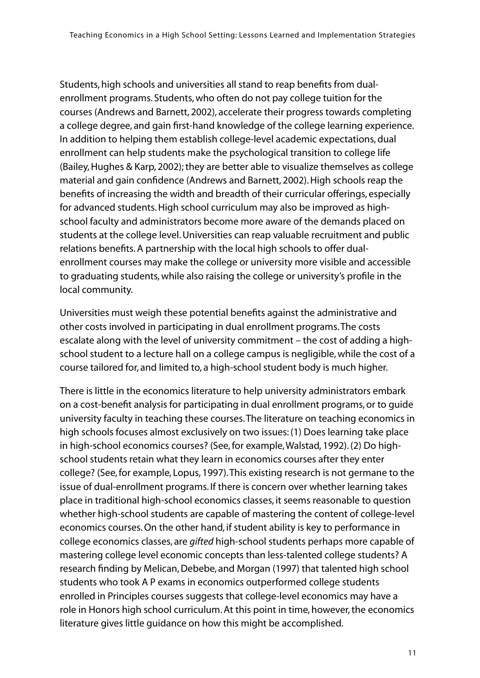Students, high schools and universities all stand to reap benefits from dualenrollment programs. Students, who often do not pay college tuition for the courses (Andrews and Barnett, 2002), accelerate their progress towards completing a college degree, and gain first-hand knowledge of the college learning experience. In addition to helping them establish college-level academic expectations, dual enrollment can help students make the psychological transition to college life (Bailey, Hughes & Karp, 2002); they are better able to visualize themselves as college material and gain confidence (Andrews and Barnett, 2002). High schools reap the benefits of increasing the width and breadth of their curricular offerings, especially for advanced students. High school curriculum may also be improved as highschool faculty and administrators become more aware of the demands placed on students at the college level. Universities can reap valuable recruitment and public relations benefits. A partnership with the local high schools to offer dualenrollment courses may make the college or university more visible and accessible to graduating students, while also raising the college or university's profile in the local community.

Universities must weigh these potential benefits against the administrative and other costs involved in participating in dual enrollment programs.The costs escalate along with the level of university commitment – the cost of adding a highschool student to a lecture hall on a college campus is negligible, while the cost of a course tailored for, and limited to, a high-school student body is much higher.

There is little in the economics literature to help university administrators embark on a cost-benefit analysis for participating in dual enrollment programs, or to guide university faculty in teaching these courses.The literature on teaching economics in high schools focuses almost exclusively on two issues: (1) Does learning take place in high-school economics courses? (See, for example, Walstad, 1992). (2) Do highschool students retain what they learn in economics courses after they enter college? (See, for example, Lopus, 1997).This existing research is not germane to the issue of dual-enrollment programs. If there is concern over whether learning takes place in traditional high-school economics classes, it seems reasonable to question whether high-school students are capable of mastering the content of college-level economics courses. On the other hand, if student ability is key to performance in college economics classes, are *gifted* high-school students perhaps more capable of mastering college level economic concepts than less-talented college students? A research finding by Melican, Debebe, and Morgan (1997) that talented high school students who took A P exams in economics outperformed college students enrolled in Principles courses suggests that college-level economics may have a role in Honors high school curriculum. At this point in time, however, the economics literature gives little guidance on how this might be accomplished.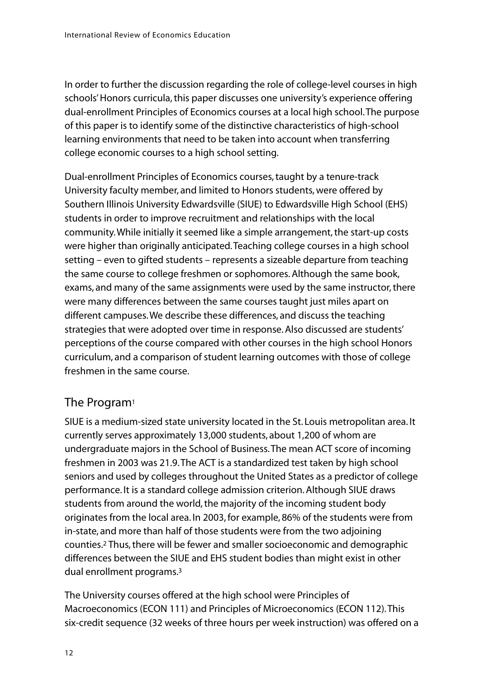In order to further the discussion regarding the role of college-level courses in high schools' Honors curricula, this paper discusses one university's experience offering dual-enrollment Principles of Economics courses at a local high school.The purpose of this paper is to identify some of the distinctive characteristics of high-school learning environments that need to be taken into account when transferring college economic courses to a high school setting.

Dual-enrollment Principles of Economics courses, taught by a tenure-track University faculty member, and limited to Honors students, were offered by Southern Illinois University Edwardsville (SIUE) to Edwardsville High School (EHS) students in order to improve recruitment and relationships with the local community.While initially it seemed like a simple arrangement, the start-up costs were higher than originally anticipated.Teaching college courses in a high school setting – even to gifted students – represents a sizeable departure from teaching the same course to college freshmen or sophomores. Although the same book, exams, and many of the same assignments were used by the same instructor, there were many differences between the same courses taught just miles apart on different campuses.We describe these differences, and discuss the teaching strategies that were adopted over time in response. Also discussed are students' perceptions of the course compared with other courses in the high school Honors curriculum, and a comparison of student learning outcomes with those of college freshmen in the same course.

## The Program1

SIUE is a medium-sized state university located in the St. Louis metropolitan area. It currently serves approximately 13,000 students, about 1,200 of whom are undergraduate majors in the School of Business.The mean ACT score of incoming freshmen in 2003 was 21.9.The ACT is a standardized test taken by high school seniors and used by colleges throughout the United States as a predictor of college performance. It is a standard college admission criterion. Although SIUE draws students from around the world, the majority of the incoming student body originates from the local area. In 2003, for example, 86% of the students were from in-state, and more than half of those students were from the two adjoining counties.2 Thus, there will be fewer and smaller socioeconomic and demographic differences between the SIUE and EHS student bodies than might exist in other dual enrollment programs.3

The University courses offered at the high school were Principles of Macroeconomics (ECON 111) and Principles of Microeconomics (ECON 112).This six-credit sequence (32 weeks of three hours per week instruction) was offered on a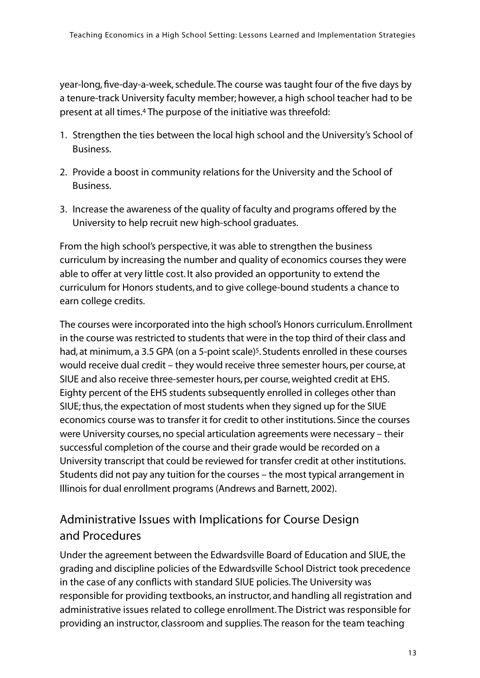year-long, five-day-a-week, schedule.The course was taught four of the five days by a tenure-track University faculty member; however, a high school teacher had to be present at all times.4 The purpose of the initiative was threefold:

- 1. Strengthen the ties between the local high school and the University's School of **Business**
- 2. Provide a boost in community relations for the University and the School of **Business**
- 3. Increase the awareness of the quality of faculty and programs offered by the University to help recruit new high-school graduates.

From the high school's perspective, it was able to strengthen the business curriculum by increasing the number and quality of economics courses they were able to offer at very little cost. It also provided an opportunity to extend the curriculum for Honors students, and to give college-bound students a chance to earn college credits.

The courses were incorporated into the high school's Honors curriculum. Enrollment in the course was restricted to students that were in the top third of their class and had, at minimum, a 3.5 GPA (on a 5-point scale)5. Students enrolled in these courses would receive dual credit – they would receive three semester hours, per course, at SIUE and also receive three-semester hours, per course, weighted credit at EHS. Eighty percent of the EHS students subsequently enrolled in colleges other than SIUE;thus, the expectation of most students when they signed up for the SIUE economics course was to transfer it for credit to other institutions. Since the courses were University courses, no special articulation agreements were necessary – their successful completion of the course and their grade would be recorded on a University transcript that could be reviewed for transfer credit at other institutions. Students did not pay any tuition for the courses – the most typical arrangement in Illinois for dual enrollment programs (Andrews and Barnett, 2002).

# Administrative Issues with Implications for Course Design and Procedures

Under the agreement between the Edwardsville Board of Education and SIUE, the grading and discipline policies of the Edwardsville School District took precedence in the case of any conflicts with standard SIUE policies.The University was responsible for providing textbooks, an instructor, and handling all registration and administrative issues related to college enrollment.The District was responsible for providing an instructor, classroom and supplies.The reason for the team teaching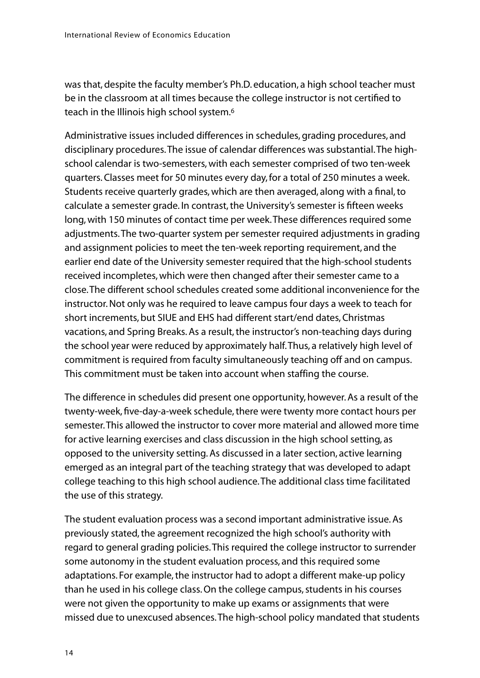was that, despite the faculty member's Ph.D. education, a high school teacher must be in the classroom at all times because the college instructor is not certified to teach in the Illinois high school system.6

Administrative issues included differences in schedules, grading procedures, and disciplinary procedures.The issue of calendar differences was substantial.The highschool calendar is two-semesters, with each semester comprised of two ten-week quarters. Classes meet for 50 minutes every day, for a total of 250 minutes a week. Students receive quarterly grades, which are then averaged, along with a final, to calculate a semester grade. In contrast, the University's semester is fifteen weeks long, with 150 minutes of contact time per week.These differences required some adjustments.The two-quarter system per semester required adjustments in grading and assignment policies to meet the ten-week reporting requirement, and the earlier end date of the University semester required that the high-school students received incompletes, which were then changed after their semester came to a close.The different school schedules created some additional inconvenience for the instructor. Not only was he required to leave campus four days a week to teach for short increments, but SIUE and EHS had different start/end dates, Christmas vacations, and Spring Breaks. As a result, the instructor's non-teaching days during the school year were reduced by approximately half.Thus, a relatively high level of commitment is required from faculty simultaneously teaching off and on campus. This commitment must be taken into account when staffing the course.

The difference in schedules did present one opportunity, however. As a result of the twenty-week, five-day-a-week schedule, there were twenty more contact hours per semester.This allowed the instructor to cover more material and allowed more time for active learning exercises and class discussion in the high school setting, as opposed to the university setting. As discussed in a later section, active learning emerged as an integral part of the teaching strategy that was developed to adapt college teaching to this high school audience.The additional class time facilitated the use of this strategy.

The student evaluation process was a second important administrative issue. As previously stated, the agreement recognized the high school's authority with regard to general grading policies.This required the college instructor to surrender some autonomy in the student evaluation process, and this required some adaptations. For example, the instructor had to adopt a different make-up policy than he used in his college class. On the college campus, students in his courses were not given the opportunity to make up exams or assignments that were missed due to unexcused absences.The high-school policy mandated that students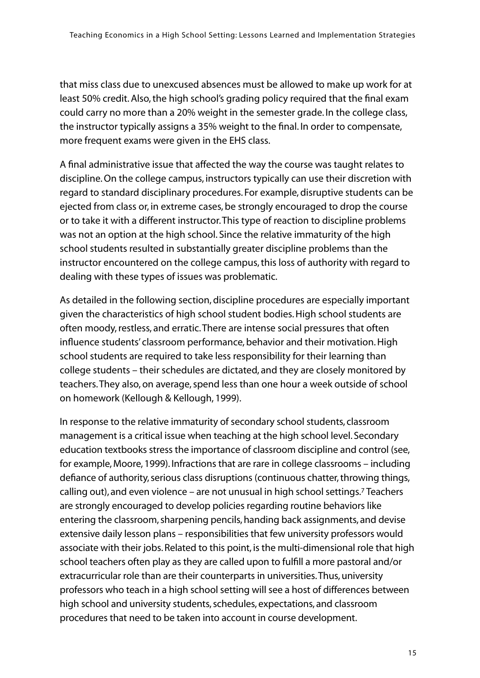that miss class due to unexcused absences must be allowed to make up work for at least 50% credit. Also, the high school's grading policy required that the final exam could carry no more than a 20% weight in the semester grade. In the college class, the instructor typically assigns a 35% weight to the final. In order to compensate, more frequent exams were given in the EHS class.

A final administrative issue that affected the way the course was taught relates to discipline. On the college campus, instructors typically can use their discretion with regard to standard disciplinary procedures. For example, disruptive students can be ejected from class or, in extreme cases, be strongly encouraged to drop the course or to take it with a different instructor.This type of reaction to discipline problems was not an option at the high school. Since the relative immaturity of the high school students resulted in substantially greater discipline problems than the instructor encountered on the college campus, this loss of authority with regard to dealing with these types of issues was problematic.

As detailed in the following section, discipline procedures are especially important given the characteristics of high school student bodies. High school students are often moody, restless, and erratic.There are intense social pressures that often influence students' classroom performance, behavior and their motivation. High school students are required to take less responsibility for their learning than college students – their schedules are dictated, and they are closely monitored by teachers.They also, on average, spend less than one hour a week outside of school on homework (Kellough & Kellough, 1999).

In response to the relative immaturity of secondary school students, classroom management is a critical issue when teaching at the high school level. Secondary education textbooks stress the importance of classroom discipline and control (see, for example, Moore, 1999). Infractions that are rare in college classrooms – including defiance of authority, serious class disruptions (continuous chatter, throwing things, calling out), and even violence – are not unusual in high school settings.7 Teachers are strongly encouraged to develop policies regarding routine behaviors like entering the classroom, sharpening pencils, handing back assignments, and devise extensive daily lesson plans – responsibilities that few university professors would associate with their jobs. Related to this point, is the multi-dimensional role that high school teachers often play as they are called upon to fulfill a more pastoral and/or extracurricular role than are their counterparts in universities.Thus, university professors who teach in a high school setting will see a host of differences between high school and university students, schedules, expectations, and classroom procedures that need to be taken into account in course development.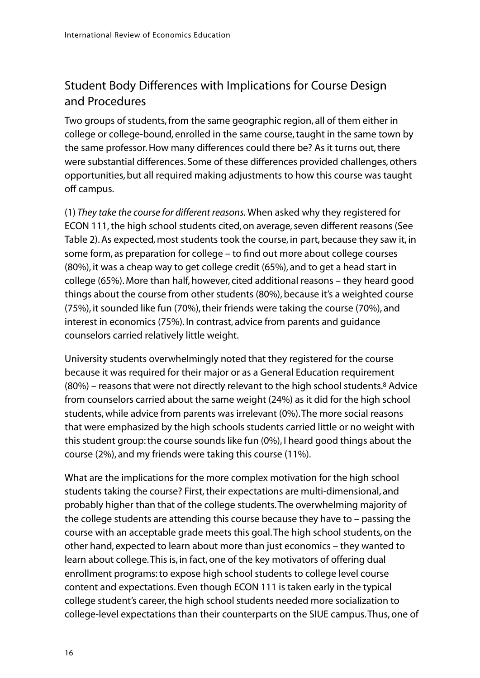# Student Body Differences with Implications for Course Design and Procedures

Two groups of students, from the same geographic region, all of them either in college or college-bound, enrolled in the same course, taught in the same town by the same professor. How many differences could there be? As it turns out, there were substantial differences. Some of these differences provided challenges, others opportunities, but all required making adjustments to how this course was taught off campus.

(1) *They take the course for different reasons.* When asked why they registered for ECON 111, the high school students cited, on average, seven different reasons (See Table 2). As expected, most students took the course, in part, because they saw it, in some form, as preparation for college – to find out more about college courses (80%), it was a cheap way to get college credit (65%), and to get a head start in college (65%). More than half, however, cited additional reasons – they heard good things about the course from other students (80%), because it's a weighted course (75%), it sounded like fun (70%), their friends were taking the course (70%), and interest in economics (75%). In contrast, advice from parents and guidance counselors carried relatively little weight.

University students overwhelmingly noted that they registered for the course because it was required for their major or as a General Education requirement (80%) – reasons that were not directly relevant to the high school students.8 Advice from counselors carried about the same weight (24%) as it did for the high school students,while advice from parents was irrelevant (0%).The more social reasons that were emphasized by the high schools students carried little or no weight with this student group:the course sounds like fun (0%), I heard good things about the course (2%), and my friends were taking this course (11%).

What are the implications for the more complex motivation for the high school students taking the course? First, their expectations are multi-dimensional, and probably higher than that of the college students.The overwhelming majority of the college students are attending this course because they have to – passing the course with an acceptable grade meets this goal.The high school students, on the other hand, expected to learn about more than just economics – they wanted to learn about college.This is, in fact, one of the key motivators of offering dual enrollment programs: to expose high school students to college level course content and expectations. Even though ECON 111 is taken early in the typical college student's career, the high school students needed more socialization to college-level expectations than their counterparts on the SIUE campus.Thus, one of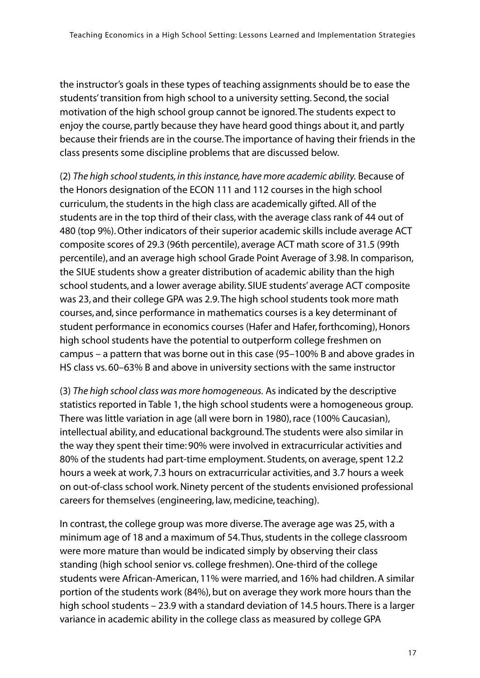the instructor's goals in these types of teaching assignments should be to ease the students' transition from high school to a university setting. Second, the social motivation of the high school group cannot be ignored.The students expect to enjoy the course, partly because they have heard good things about it, and partly because their friends are in the course.The importance of having their friends in the class presents some discipline problems that are discussed below.

(2) *The high school students, in this instance, have more academic ability.* Because of the Honors designation of the ECON 111 and 112 courses in the high school curriculum, the students in the high class are academically gifted. All of the students are in the top third of their class, with the average class rank of 44 out of 480 (top 9%). Other indicators of their superior academic skills include average ACT composite scores of 29.3 (96th percentile), average ACT math score of 31.5 (99th percentile), and an average high school Grade Point Average of 3.98. In comparison, the SIUE students show a greater distribution of academic ability than the high school students, and a lower average ability. SIUE students' average ACT composite was 23, and their college GPA was 2.9.The high school students took more math courses, and, since performance in mathematics courses is a key determinant of student performance in economics courses (Hafer and Hafer, forthcoming), Honors high school students have the potential to outperform college freshmen on campus – a pattern that was borne out in this case (95–100% B and above grades in HS class vs. 60–63% B and above in university sections with the same instructor

(3) *The high school class was more homogeneous.* As indicated by the descriptive statistics reported in Table 1, the high school students were a homogeneous group. There was little variation in age (all were born in 1980), race (100% Caucasian), intellectual ability, and educational background.The students were also similar in the way they spent their time: 90% were involved in extracurricular activities and 80% of the students had part-time employment. Students, on average, spent 12.2 hours a week at work, 7.3 hours on extracurricular activities, and 3.7 hours a week on out-of-class school work. Ninety percent of the students envisioned professional careers for themselves (engineering, law, medicine, teaching).

In contrast, the college group was more diverse.The average age was 25, with a minimum age of 18 and a maximum of 54.Thus, students in the college classroom were more mature than would be indicated simply by observing their class standing (high school senior vs. college freshmen). One-third of the college students were African-American, 11% were married, and 16% had children. A similar portion of the students work (84%), but on average they work more hours than the high school students – 23.9 with a standard deviation of 14.5 hours.There is a larger variance in academic ability in the college class as measured by college GPA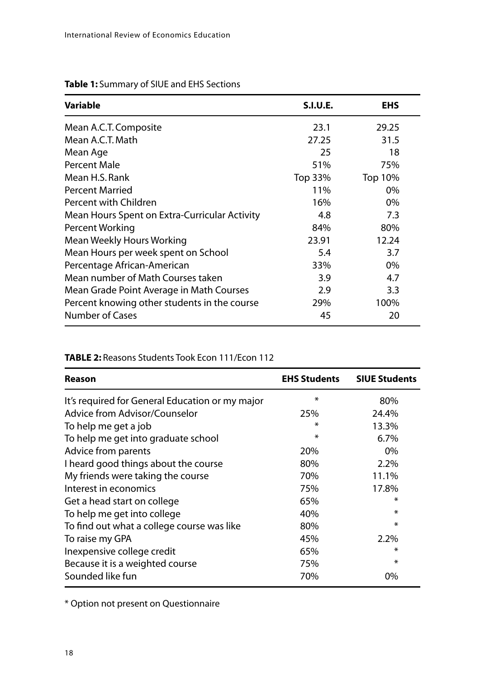| Variable                                      | <b>S.I.U.E.</b> | <b>EHS</b> |
|-----------------------------------------------|-----------------|------------|
| Mean A.C.T. Composite                         | 23.1            | 29.25      |
| Mean A.C.T. Math                              | 27.25           | 31.5       |
| Mean Age                                      | 25              | 18         |
| Percent Male                                  | 51%             | 75%        |
| Mean H.S. Rank                                | Top 33%         | Top 10%    |
| Percent Married                               | 11%             | 0%         |
| Percent with Children                         | 16%             | $0\%$      |
| Mean Hours Spent on Extra-Curricular Activity | 4.8             | 7.3        |
| Percent Working                               | 84%             | 80%        |
| Mean Weekly Hours Working                     | 23.91           | 12.24      |
| Mean Hours per week spent on School           | 5.4             | 3.7        |
| Percentage African-American                   | 33%             | 0%         |
| Mean number of Math Courses taken             | 3.9             | 4.7        |
| Mean Grade Point Average in Math Courses      | 2.9             | 3.3        |
| Percent knowing other students in the course  | 29%             | 100%       |
| Number of Cases                               | 45              | 20         |

#### **Table 1:** Summary of SIUE and EHS Sections

#### **TABLE 2:** Reasons Students Took Econ 111/Econ 112

| Reason                                          | <b>EHS Students</b> | <b>SIUE Students</b> |
|-------------------------------------------------|---------------------|----------------------|
| It's required for General Education or my major | ∗                   | 80%                  |
| Advice from Advisor/Counselor                   | 25%                 | 24.4%                |
| To help me get a job                            | ∗                   | 13.3%                |
| To help me get into graduate school             | ∗                   | 6.7%                 |
| Advice from parents                             | 20%                 | $0\%$                |
| I heard good things about the course            | 80%                 | 2.2%                 |
| My friends were taking the course               | 70%                 | 11.1%                |
| Interest in economics                           | 75%                 | 17.8%                |
| Get a head start on college                     | 65%                 | ∗                    |
| To help me get into college                     | 40%                 | ∗                    |
| To find out what a college course was like      | 80%                 | ∗                    |
| To raise my GPA                                 | 45%                 | 2.2%                 |
| Inexpensive college credit                      | 65%                 | ∗                    |
| Because it is a weighted course                 | 75%                 | ∗                    |
| Sounded like fun                                | 70%                 | 0%                   |

\* Option not present on Questionnaire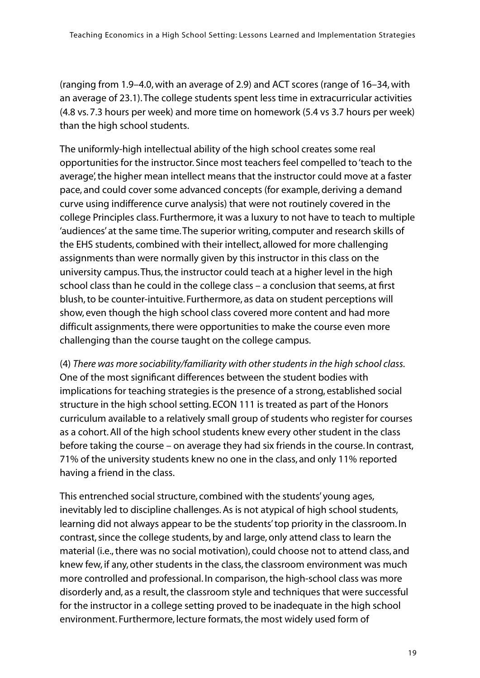(ranging from 1.9–4.0, with an average of 2.9) and ACT scores (range of 16–34, with an average of 23.1).The college students spent less time in extracurricular activities (4.8 vs. 7.3 hours per week) and more time on homework (5.4 vs 3.7 hours per week) than the high school students.

The uniformly-high intellectual ability of the high school creates some real opportunities for the instructor. Since most teachers feel compelled to 'teach to the average', the higher mean intellect means that the instructor could move at a faster pace, and could cover some advanced concepts (for example, deriving a demand curve using indifference curve analysis) that were not routinely covered in the college Principles class. Furthermore, it was a luxury to not have to teach to multiple 'audiences' at the same time.The superior writing, computer and research skills of the EHS students, combined with their intellect, allowed for more challenging assignments than were normally given by this instructor in this class on the university campus.Thus, the instructor could teach at a higher level in the high school class than he could in the college class – a conclusion that seems, at first blush, to be counter-intuitive. Furthermore, as data on student perceptions will show, even though the high school class covered more content and had more difficult assignments, there were opportunities to make the course even more challenging than the course taught on the college campus.

(4) *There was more sociability/familiarity with other students in the high school class*. One of the most significant differences between the student bodies with implications for teaching strategies is the presence of a strong, established social structure in the high school setting. ECON 111 is treated as part of the Honors curriculum available to a relatively small group of students who register for courses as a cohort. All of the high school students knew every other student in the class before taking the course – on average they had six friends in the course. In contrast, 71% of the university students knew no one in the class, and only 11% reported having a friend in the class.

This entrenched social structure, combined with the students' young ages, inevitably led to discipline challenges.As is not atypical of high school students, learning did not always appear to be the students' top priority in the classroom. In contrast, since the college students, by and large, only attend class to learn the material (i.e., there was no social motivation), could choose not to attend class, and knew few, if any, other students in the class, the classroom environment was much more controlled and professional. In comparison, the high-school class was more disorderly and, as a result, the classroom style and techniques that were successful for the instructor in a college setting proved to be inadequate in the high school environment. Furthermore, lecture formats, the most widely used form of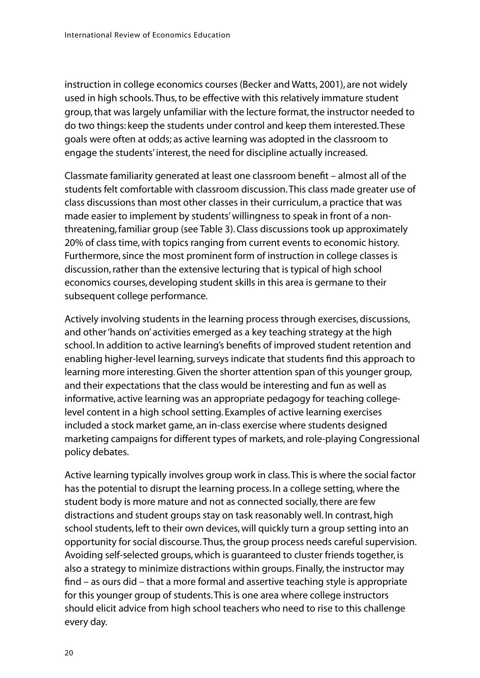instruction in college economics courses (Becker and Watts, 2001), are not widely used in high schools.Thus, to be effective with this relatively immature student group, that was largely unfamiliar with the lecture format, the instructor needed to do two things: keep the students under control and keep them interested.These goals were often at odds; as active learning was adopted in the classroom to engage the students' interest, the need for discipline actually increased.

Classmate familiarity generated at least one classroom benefit – almost all of the students felt comfortable with classroom discussion.This class made greater use of class discussions than most other classes in their curriculum, a practice that was made easier to implement by students' willingness to speak in front of a nonthreatening, familiar group (see Table 3). Class discussions took up approximately 20% of class time, with topics ranging from current events to economic history. Furthermore, since the most prominent form of instruction in college classes is discussion, rather than the extensive lecturing that is typical of high school economics courses, developing student skills in this area is germane to their subsequent college performance.

Actively involving students in the learning process through exercises, discussions, and other 'hands on' activities emerged as a key teaching strategy at the high school. In addition to active learning's benefits of improved student retention and enabling higher-level learning, surveys indicate that students find this approach to learning more interesting. Given the shorter attention span of this younger group, and their expectations that the class would be interesting and fun as well as informative, active learning was an appropriate pedagogy for teaching collegelevel content in a high school setting. Examples of active learning exercises included a stock market game, an in-class exercise where students designed marketing campaigns for different types of markets, and role-playing Congressional policy debates.

Active learning typically involves group work in class.This is where the social factor has the potential to disrupt the learning process. In a college setting, where the student body is more mature and not as connected socially, there are few distractions and student groups stay on task reasonably well. In contrast, high school students, left to their own devices, will quickly turn a group setting into an opportunity for social discourse.Thus, the group process needs careful supervision. Avoiding self-selected groups, which is guaranteed to cluster friends together, is also a strategy to minimize distractions within groups. Finally, the instructor may find – as ours did – that a more formal and assertive teaching style is appropriate for this younger group of students.This is one area where college instructors should elicit advice from high school teachers who need to rise to this challenge every day.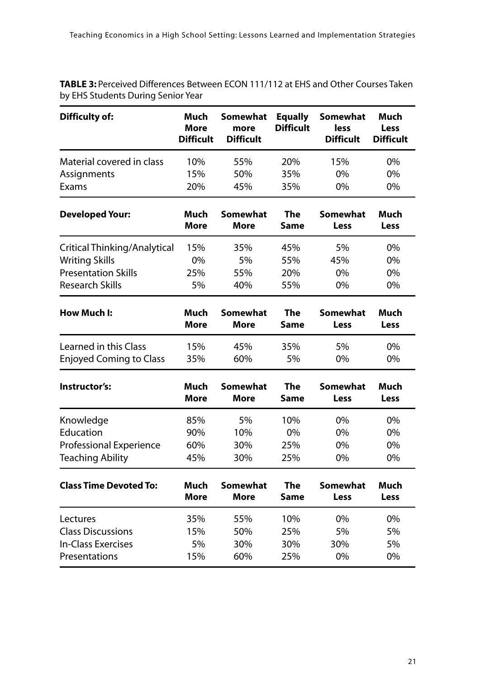**TABLE 3:** Perceived Differences Between ECON 111/112 at EHS and Other Courses Taken by EHS Students During Senior Year

| Difficulty of:                 | Much<br><b>More</b><br><b>Difficult</b> | <b>Somewhat</b><br>more<br><b>Difficult</b> | <b>Equally</b><br><b>Difficult</b> | <b>Somewhat</b><br>less<br><b>Difficult</b> | Much<br><b>Less</b><br><b>Difficult</b> |
|--------------------------------|-----------------------------------------|---------------------------------------------|------------------------------------|---------------------------------------------|-----------------------------------------|
| Material covered in class      | 10%                                     | 55%                                         | 20%                                | 15%                                         | 0%                                      |
| Assignments                    | 15%                                     | 50%                                         | 35%                                | 0%                                          | 0%                                      |
| Exams                          | 20%                                     | 45%                                         | 35%                                | 0%                                          | 0%                                      |
| <b>Developed Your:</b>         | Much<br>More                            | Somewhat<br>More                            | <b>The</b><br>Same                 | Somewhat<br>Less                            | Much<br>Less                            |
| Critical Thinking/Analytical   | 15%                                     | 35%                                         | 45%                                | 5%                                          | 0%                                      |
| <b>Writing Skills</b>          | 0%                                      | 5%                                          | 55%                                | 45%                                         | 0%                                      |
| <b>Presentation Skills</b>     | 25%                                     | 55%                                         | 20%                                | 0%                                          | 0%                                      |
| <b>Research Skills</b>         | 5%                                      | 40%                                         | 55%                                | 0%                                          | 0%                                      |
| <b>How Much I:</b>             | Much<br><b>More</b>                     | <b>Somewhat</b><br>More                     | <b>The</b><br>Same                 | <b>Somewhat</b><br>Less                     | Much<br>Less                            |
| <b>Learned in this Class</b>   | 15%                                     | 45%                                         | 35%                                | 5%                                          | 0%                                      |
| <b>Enjoyed Coming to Class</b> | 35%                                     | 60%                                         | 5%                                 | 0%                                          | 0%                                      |
| Instructor's:                  | Much<br>More                            | <b>Somewhat</b><br>More                     | <b>The</b><br>Same                 | Somewhat<br>Less                            | Much<br>Less                            |
| Knowledge                      | 85%                                     | 5%                                          | 10%                                | 0%                                          | 0%                                      |
| Education                      | 90%                                     | 10%                                         | 0%                                 | 0%                                          | 0%                                      |
| <b>Professional Experience</b> | 60%                                     | 30%                                         | 25%                                | 0%                                          | 0%                                      |
| <b>Teaching Ability</b>        | 45%                                     | 30%                                         | 25%                                | 0%                                          | 0%                                      |
| <b>Class Time Devoted To:</b>  | Much<br><b>More</b>                     | <b>Somewhat</b><br>More                     | <b>The</b><br>Same                 | <b>Somewhat</b><br>Less                     | Much<br>Less                            |
| Lectures                       | 35%                                     | 55%                                         | 10%                                | 0%                                          | 0%                                      |
| <b>Class Discussions</b>       | 15%                                     | 50%                                         | 25%                                | 5%                                          | 5%                                      |
| <b>In-Class Exercises</b>      | 5%                                      | 30%                                         | 30%                                | 30%                                         | 5%                                      |
| Presentations                  | 15%                                     | 60%                                         | 25%                                | 0%                                          | 0%                                      |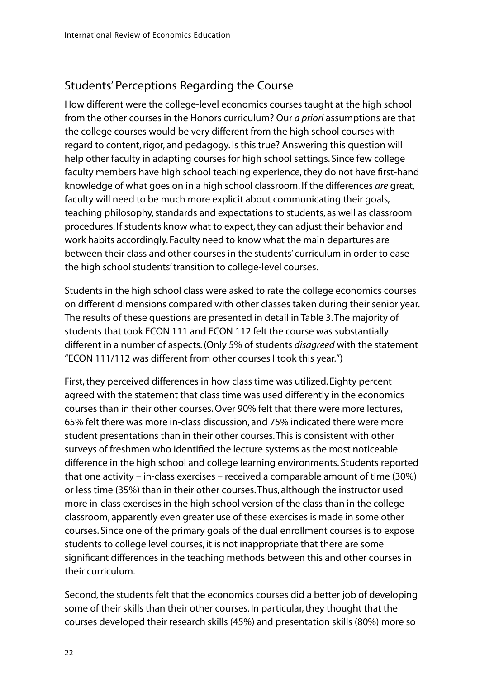# Students' Perceptions Regarding the Course

How different were the college-level economics courses taught at the high school from the other courses in the Honors curriculum? Our *a priori* assumptions are that the college courses would be very different from the high school courses with regard to content, rigor, and pedagogy. Is this true? Answering this question will help other faculty in adapting courses for high school settings. Since few college faculty members have high school teaching experience, they do not have first-hand knowledge of what goes on in a high school classroom. If the differences *are* great, faculty will need to be much more explicit about communicating their goals, teaching philosophy, standards and expectations to students, as well as classroom procedures. If students know what to expect, they can adjust their behavior and work habits accordingly. Faculty need to know what the main departures are between their class and other courses in the students' curriculum in order to ease the high school students' transition to college-level courses.

Students in the high school class were asked to rate the college economics courses on different dimensions compared with other classes taken during their senior year. The results of these questions are presented in detail in Table 3.The majority of students that took ECON 111 and ECON 112 felt the course was substantially different in a number of aspects.(Only 5% of students *disagreed* with the statement "ECON 111/112 was different from other courses I took this year.")

First, they perceived differences in how class time was utilized. Eighty percent agreed with the statement that class time was used differently in the economics courses than in their other courses. Over 90% felt that there were more lectures, 65% felt there was more in-class discussion, and 75% indicated there were more student presentations than in their other courses.This is consistent with other surveys of freshmen who identified the lecture systems as the most noticeable difference in the high school and college learning environments. Students reported that one activity – in-class exercises – received a comparable amount of time (30%) or less time (35%) than in their other courses.Thus, although the instructor used more in-class exercises in the high school version of the class than in the college classroom, apparently even greater use of these exercises is made in some other courses. Since one of the primary goals of the dual enrollment courses is to expose students to college level courses, it is not inappropriate that there are some significant differences in the teaching methods between this and other courses in their curriculum.

Second, the students felt that the economics courses did a better job of developing some of their skills than their other courses. In particular, they thought that the courses developed their research skills (45%) and presentation skills (80%) more so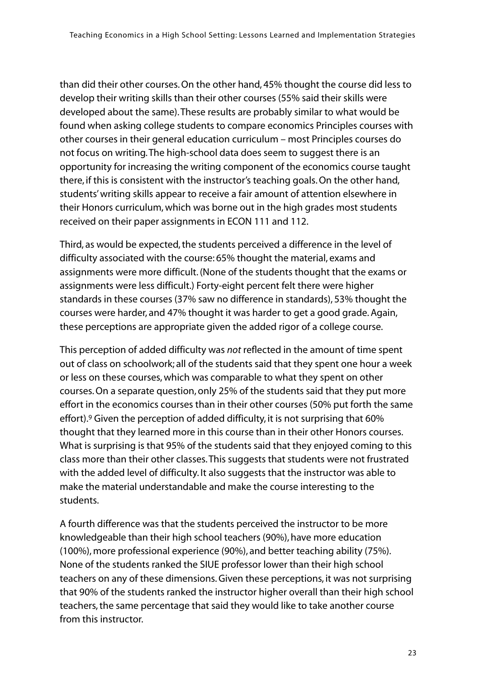than did their other courses. On the other hand, 45% thought the course did less to develop their writing skills than their other courses (55% said their skills were developed about the same).These results are probably similar to what would be found when asking college students to compare economics Principles courses with other courses in their general education curriculum – most Principles courses do not focus on writing.The high-school data does seem to suggest there is an opportunity for increasing the writing component of the economics course taught there, if this is consistent with the instructor's teaching goals. On the other hand, students' writing skills appear to receive a fair amount of attention elsewhere in their Honors curriculum, which was borne out in the high grades most students received on their paper assignments in ECON 111 and 112.

Third, as would be expected, the students perceived a difference in the level of difficulty associated with the course: 65% thought the material, exams and assignments were more difficult. (None of the students thought that the exams or assignments were less difficult.) Forty-eight percent felt there were higher standards in these courses (37% saw no difference in standards), 53% thought the courses were harder, and 47% thought it was harder to get a good grade. Again, these perceptions are appropriate given the added rigor of a college course.

This perception of added difficulty was *not* reflected in the amount of time spent out of class on schoolwork; all of the students said that they spent one hour a week or less on these courses, which was comparable to what they spent on other courses.On a separate question, only 25% of the students said that they put more effort in the economics courses than in their other courses (50% put forth the same effort).9 Given the perception of added difficulty, it is not surprising that 60% thought that they learned more in this course than in their other Honors courses. What is surprising is that 95% of the students said that they enjoyed coming to this class more than their other classes.This suggests that students were not frustrated with the added level of difficulty. It also suggests that the instructor was able to make the material understandable and make the course interesting to the students.

A fourth difference was that the students perceived the instructor to be more knowledgeable than their high school teachers (90%), have more education (100%), more professional experience (90%), and better teaching ability (75%). None of the students ranked the SIUE professor lower than their high school teachers on any of these dimensions. Given these perceptions, it was not surprising that 90% of the students ranked the instructor higher overall than their high school teachers, the same percentage that said they would like to take another course from this instructor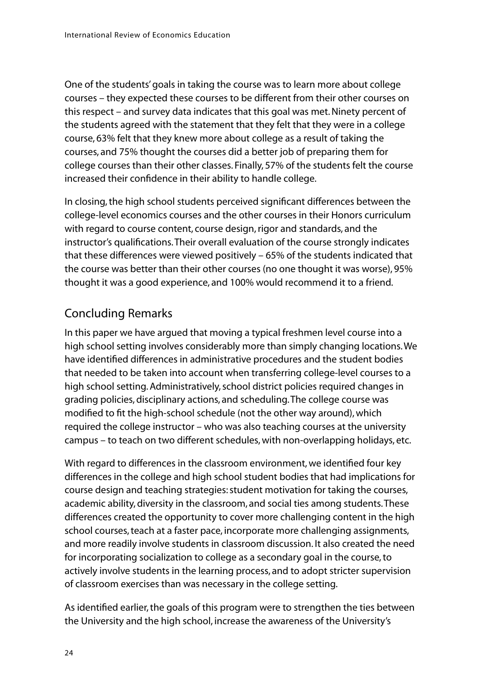One of the students' goals in taking the course was to learn more about college courses – they expected these courses to be different from their other courses on this respect – and survey data indicates that this goal was met. Ninety percent of the students agreed with the statement that they felt that they were in a college course, 63% felt that they knew more about college as a result of taking the courses, and 75% thought the courses did a better job of preparing them for college courses than their other classes. Finally, 57% of the students felt the course increased their confidence in their ability to handle college.

In closing, the high school students perceived significant differences between the college-level economics courses and the other courses in their Honors curriculum with regard to course content, course design, rigor and standards, and the instructor's qualifications.Their overall evaluation of the course strongly indicates that these differences were viewed positively – 65% of the students indicated that the course was better than their other courses (no one thought it was worse), 95% thought it was a good experience, and 100% would recommend it to a friend.

# Concluding Remarks

In this paper we have argued that moving a typical freshmen level course into a high school setting involves considerably more than simply changing locations.We have identified differences in administrative procedures and the student bodies that needed to be taken into account when transferring college-level courses to a high school setting. Administratively, school district policies required changes in grading policies, disciplinary actions, and scheduling.The college course was modified to fit the high-school schedule (not the other way around), which required the college instructor – who was also teaching courses at the university campus – to teach on two different schedules, with non-overlapping holidays, etc.

With regard to differences in the classroom environment, we identified four key differences in the college and high school student bodies that had implications for course design and teaching strategies: student motivation for taking the courses, academic ability, diversity in the classroom, and social ties among students.These differences created the opportunity to cover more challenging content in the high school courses, teach at a faster pace, incorporate more challenging assignments, and more readily involve students in classroom discussion. It also created the need for incorporating socialization to college as a secondary goal in the course, to actively involve students in the learning process, and to adopt stricter supervision of classroom exercises than was necessary in the college setting.

As identified earlier, the goals of this program were to strengthen the ties between the University and the high school, increase the awareness of the University's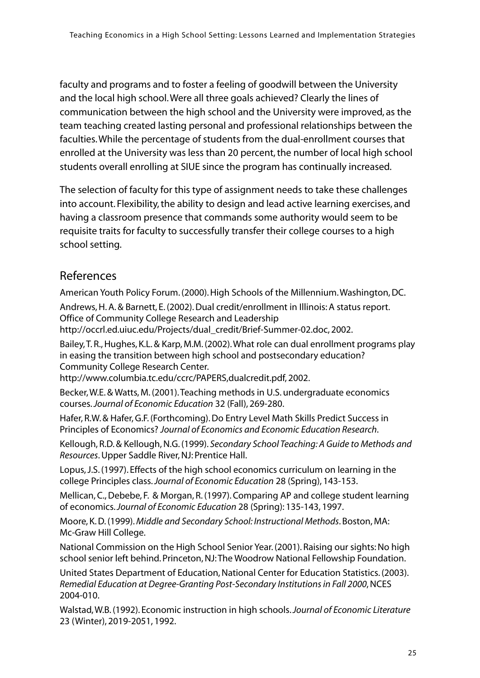faculty and programs and to foster a feeling of goodwill between the University and the local high school.Were all three goals achieved? Clearly the lines of communication between the high school and the University were improved, as the team teaching created lasting personal and professional relationships between the faculties.While the percentage of students from the dual-enrollment courses that enrolled at the University was less than 20 percent, the number of local high school students overall enrolling at SIUE since the program has continually increased.

The selection of faculty for this type of assignment needs to take these challenges into account. Flexibility, the ability to design and lead active learning exercises, and having a classroom presence that commands some authority would seem to be requisite traits for faculty to successfully transfer their college courses to a high school setting.

## References

American Youth Policy Forum. (2000). High Schools of the Millennium.Washington, DC.

Andrews, H. A. & Barnett, E. (2002). Dual credit/enrollment in Illinois: A status report. Office of Community College Research and Leadership

http://occrl.ed.uiuc.edu/Projects/dual\_credit/Brief-Summer-02.doc, 2002.

Bailey,T. R., Hughes, K.L. & Karp, M.M. (2002).What role can dual enrollment programs play in easing the transition between high school and postsecondary education? Community College Research Center.

http://www.columbia.tc.edu/ccrc/PAPERS,dualcredit.pdf, 2002.

Becker, W.E. & Watts, M. (2001).Teaching methods in U.S. undergraduate economics courses.*Journal of Economic Education* 32 (Fall), 269-280.

Hafer, R.W. & Hafer, G.F. (Forthcoming). Do Entry Level Math Skills Predict Success in Principles of Economics? *Journal of Economics and Economic Education Research*.

Kellough, R.D. & Kellough, N.G. (1999). *Secondary School Teaching: A Guide to Methods and Resources*.Upper Saddle River,NJ: Prentice Hall.

Lopus,J.S. (1997). Effects of the high school economics curriculum on learning in the college Principles class.*Journal of Economic Education* 28 (Spring), 143-153.

Mellican,C.,Debebe, F. & Morgan, R. (1997). Comparing AP and college student learning of economics.*Journal of Economic Education* 28 (Spring): 135-143, 1997.

Moore, K. D. (1999).*Middle and Secondary School: Instructional Methods*. Boston, MA: Mc-Graw Hill College.

National Commission on the High School Senior Year. (2001). Raising our sights: No high school senior left behind. Princeton, NJ:The Woodrow National Fellowship Foundation.

United States Department of Education, National Center for Education Statistics. (2003). *Remedial Education at Degree-Granting Post-Secondary Institutions in Fall 2000*, NCES 2004-010.

Walstad, W.B. (1992). Economic instruction in high schools.*Journal of Economic Literature* 23 (Winter), 2019-2051, 1992.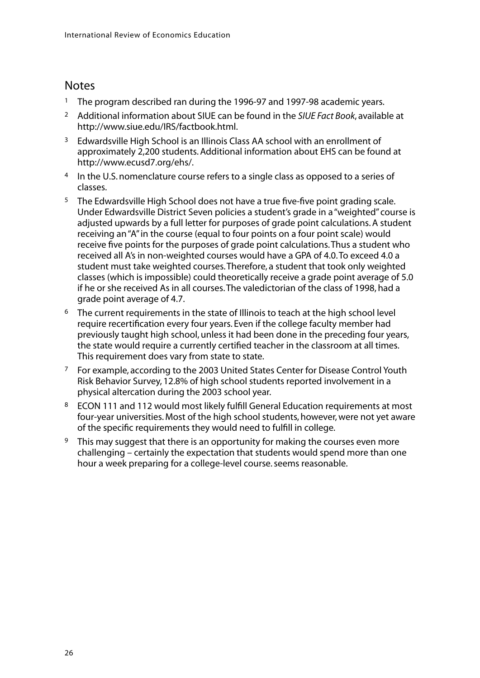#### Notes

- <sup>1</sup> The program described ran during the 1996-97 and 1997-98 academic years.
- <sup>2</sup> Additional information about SIUE can be found in the *SIUE Fact Book*, available at http://www.siue.edu/IRS/factbook.html.
- <sup>3</sup> Edwardsville High School is an Illinois Class AA school with an enrollment of approximately 2,200 students. Additional information about EHS can be found at http://www.ecusd7.org/ehs/.
- 4 In the U.S. nomenclature course refers to a single class as opposed to a series of classes.
- <sup>5</sup> The Edwardsville High School does not have a true five-five point grading scale. Under Edwardsville District Seven policies a student's grade in a "weighted" course is adjusted upwards by a full letter for purposes of grade point calculations. A student receiving an "A" in the course (equal to four points on a four point scale) would receive five points for the purposes of grade point calculations.Thus a student who received all A's in non-weighted courses would have a GPA of 4.0.To exceed 4.0 a student must take weighted courses.Therefore, a student that took only weighted classes (which is impossible) could theoretically receive a grade point average of 5.0 if he or she received As in all courses.The valedictorian of the class of 1998, had a grade point average of 4.7.
- $6$  The current requirements in the state of Illinois to teach at the high school level require recertification every four years. Even if the college faculty member had previously taught high school, unless it had been done in the preceding four years, the state would require a currently certified teacher in the classroom at all times. This requirement does vary from state to state.
- 7 For example, according to the 2003 United States Center for Disease Control Youth Risk Behavior Survey, 12.8% of high school students reported involvement in a physical altercation during the 2003 school year.
- 8 ECON 111 and 112 would most likely fulfill General Education requirements at most four-year universities. Most of the high school students, however, were not yet aware of the specific requirements they would need to fulfill in college.
- <sup>9</sup> This may suggest that there is an opportunity for making the courses even more challenging – certainly the expectation that students would spend more than one hour a week preparing for a college-level course. seems reasonable.